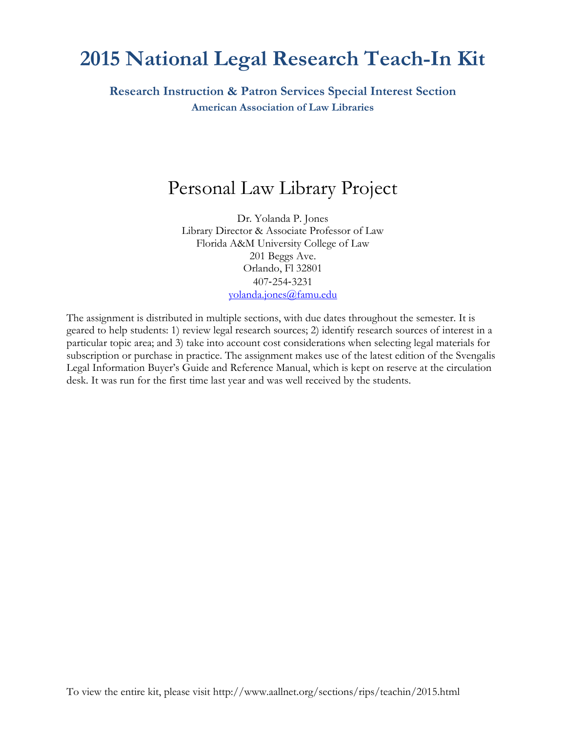# **2015 National Legal Research Teach-In Kit**

**Research Instruction & Patron Services Special Interest Section American Association of Law Libraries**

## Personal Law Library Project

Dr. Yolanda P. Jones Library Director & Associate Professor of Law Florida A&M University College of Law 201 Beggs Ave. Orlando, Fl 32801 407‐254‐3231 [yolanda.jones@famu.edu](mailto:yolanda.jones@famu.edu)

The assignment is distributed in multiple sections, with due dates throughout the semester. It is geared to help students: 1) review legal research sources; 2) identify research sources of interest in a particular topic area; and 3) take into account cost considerations when selecting legal materials for subscription or purchase in practice. The assignment makes use of the latest edition of the Svengalis Legal Information Buyer's Guide and Reference Manual, which is kept on reserve at the circulation desk. It was run for the first time last year and was well received by the students.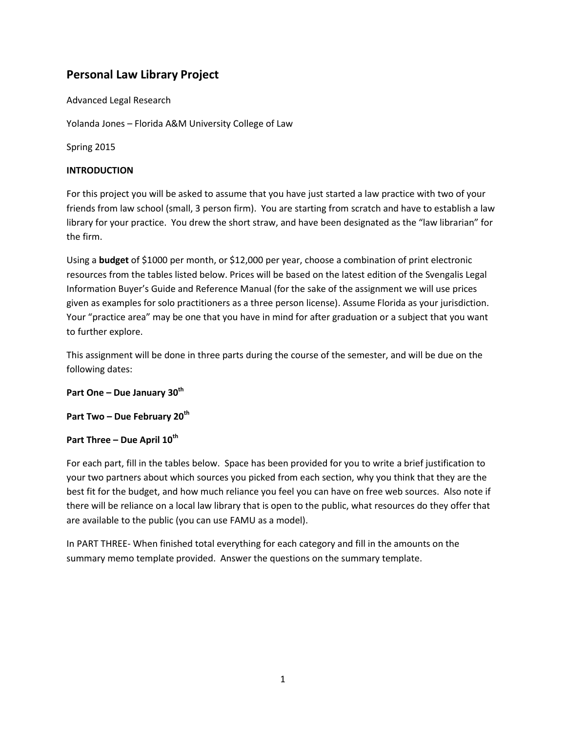### **Personal Law Library Project**

Advanced Legal Research

Yolanda Jones – Florida A&M University College of Law

Spring 2015

#### **INTRODUCTION**

For this project you will be asked to assume that you have just started a law practice with two of your friends from law school (small, 3 person firm). You are starting from scratch and have to establish a law library for your practice. You drew the short straw, and have been designated as the "law librarian" for the firm.

Using a **budget** of \$1000 per month, or \$12,000 per year, choose a combination of print electronic resources from the tables listed below. Prices will be based on the latest edition of the Svengalis Legal Information Buyer's Guide and Reference Manual (for the sake of the assignment we will use prices given as examples for solo practitioners as a three person license). Assume Florida as your jurisdiction. Your "practice area" may be one that you have in mind for after graduation or a subject that you want to further explore.

This assignment will be done in three parts during the course of the semester, and will be due on the following dates:

#### **Part One – Due January 30th**

**Part Two – Due February 20th**

#### **Part Three – Due April 10th**

For each part, fill in the tables below. Space has been provided for you to write a brief justification to your two partners about which sources you picked from each section, why you think that they are the best fit for the budget, and how much reliance you feel you can have on free web sources. Also note if there will be reliance on a local law library that is open to the public, what resources do they offer that are available to the public (you can use FAMU as a model).

In PART THREE- When finished total everything for each category and fill in the amounts on the summary memo template provided. Answer the questions on the summary template.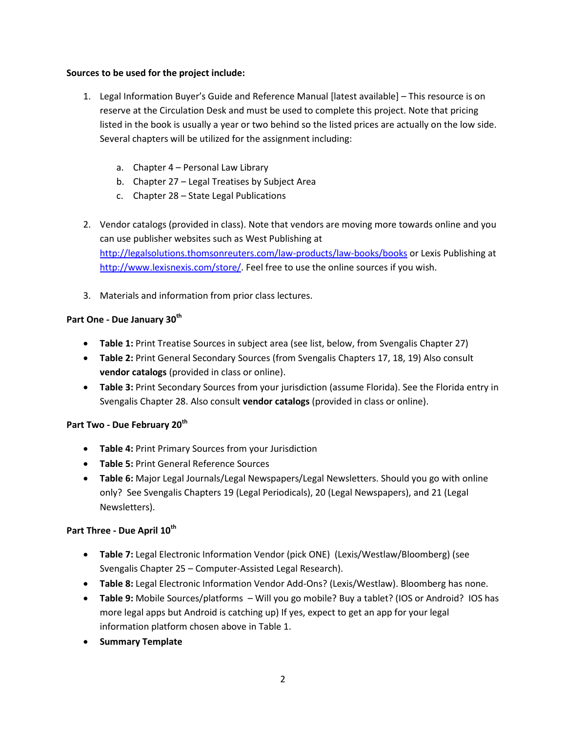#### **Sources to be used for the project include:**

- 1. Legal Information Buyer's Guide and Reference Manual [latest available] This resource is on reserve at the Circulation Desk and must be used to complete this project. Note that pricing listed in the book is usually a year or two behind so the listed prices are actually on the low side. Several chapters will be utilized for the assignment including:
	- a. Chapter 4 Personal Law Library
	- b. Chapter 27 Legal Treatises by Subject Area
	- c. Chapter 28 State Legal Publications
- 2. Vendor catalogs (provided in class). Note that vendors are moving more towards online and you can use publisher websites such as West Publishing at <http://legalsolutions.thomsonreuters.com/law-products/law-books/books> or Lexis Publishing at [http://www.lexisnexis.com/store/.](http://www.lexisnexis.com/store/) Feel free to use the online sources if you wish.
- 3. Materials and information from prior class lectures.

#### **Part One - Due January 30th**

- **Table 1:** Print Treatise Sources in subject area (see list, below, from Svengalis Chapter 27)
- **Table 2:** Print General Secondary Sources (from Svengalis Chapters 17, 18, 19) Also consult **vendor catalogs** (provided in class or online).
- **Table 3:** Print Secondary Sources from your jurisdiction (assume Florida). See the Florida entry in Svengalis Chapter 28. Also consult **vendor catalogs** (provided in class or online).

#### **Part Two - Due February 20th**

- **Table 4:** Print Primary Sources from your Jurisdiction
- **Table 5:** Print General Reference Sources
- **Table 6:** Major Legal Journals/Legal Newspapers/Legal Newsletters. Should you go with online only? See Svengalis Chapters 19 (Legal Periodicals), 20 (Legal Newspapers), and 21 (Legal Newsletters).

#### **Part Three - Due April 10th**

- **Table 7:** Legal Electronic Information Vendor (pick ONE) (Lexis/Westlaw/Bloomberg) (see Svengalis Chapter 25 – Computer-Assisted Legal Research).
- **Table 8:** Legal Electronic Information Vendor Add-Ons? (Lexis/Westlaw). Bloomberg has none.
- **Table 9:** Mobile Sources/platforms Will you go mobile? Buy a tablet? (IOS or Android? IOS has more legal apps but Android is catching up) If yes, expect to get an app for your legal information platform chosen above in Table 1.
- **•** Summary Template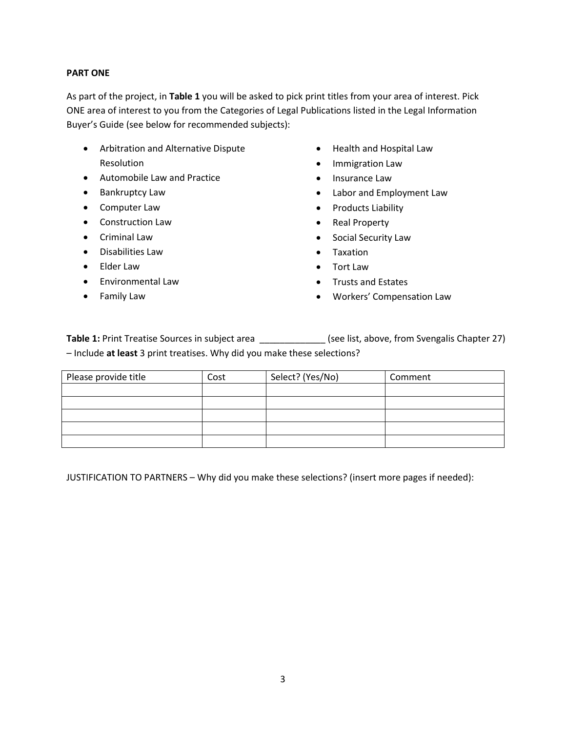#### **PART ONE**

As part of the project, in **Table 1** you will be asked to pick print titles from your area of interest. Pick ONE area of interest to you from the Categories of Legal Publications listed in the Legal Information Buyer's Guide (see below for recommended subjects):

- Arbitration and Alternative Dispute Resolution
- Automobile Law and Practice
- Bankruptcy Law
- Computer Law
- Construction Law
- Criminal Law
- Disabilities Law
- Elder Law
- **•** Environmental Law
- Family Law
- Health and Hospital Law
- **•** Immigration Law
- Insurance Law
- Labor and Employment Law
- Products Liability
- Real Property
- Social Security Law
- Taxation
- Tort Law
- Trusts and Estates
- Workers' Compensation Law

Table 1: Print Treatise Sources in subject area \_\_\_\_\_\_\_\_\_\_\_\_\_\_\_ (see list, above, from Svengalis Chapter 27) – Include **at least** 3 print treatises. Why did you make these selections?

| Please provide title | Cost | Select? (Yes/No) | Comment |
|----------------------|------|------------------|---------|
|                      |      |                  |         |
|                      |      |                  |         |
|                      |      |                  |         |
|                      |      |                  |         |
|                      |      |                  |         |

JUSTIFICATION TO PARTNERS – Why did you make these selections? (insert more pages if needed):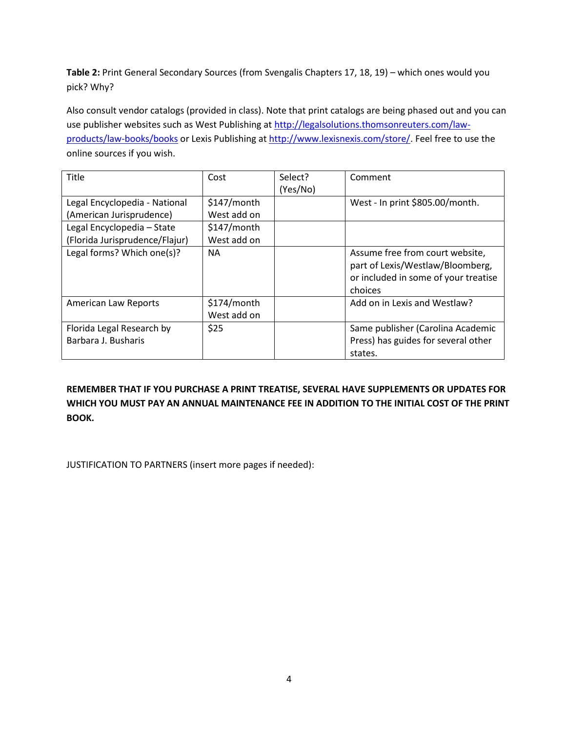**Table 2:** Print General Secondary Sources (from Svengalis Chapters 17, 18, 19) – which ones would you pick? Why?

Also consult vendor catalogs (provided in class). Note that print catalogs are being phased out and you can use publisher websites such as West Publishing at [http://legalsolutions.thomsonreuters.com/law](http://legalsolutions.thomsonreuters.com/law-products/law-books/books)[products/law-books/books](http://legalsolutions.thomsonreuters.com/law-products/law-books/books) or Lexis Publishing at [http://www.lexisnexis.com/store/.](http://www.lexisnexis.com/store/) Feel free to use the online sources if you wish.

| Title                          | Cost                       | Select?  | Comment                                                                                                                |
|--------------------------------|----------------------------|----------|------------------------------------------------------------------------------------------------------------------------|
|                                |                            | (Yes/No) |                                                                                                                        |
| Legal Encyclopedia - National  | \$147/month                |          | West - In print \$805.00/month.                                                                                        |
| (American Jurisprudence)       | West add on                |          |                                                                                                                        |
| Legal Encyclopedia - State     | \$147/month                |          |                                                                                                                        |
| (Florida Jurisprudence/Flajur) | West add on                |          |                                                                                                                        |
| Legal forms? Which one(s)?     | <b>NA</b>                  |          | Assume free from court website,<br>part of Lexis/Westlaw/Bloomberg,<br>or included in some of your treatise<br>choices |
| <b>American Law Reports</b>    | \$174/month<br>West add on |          | Add on in Lexis and Westlaw?                                                                                           |
| Florida Legal Research by      | \$25                       |          | Same publisher (Carolina Academic                                                                                      |
| Barbara J. Busharis            |                            |          | Press) has guides for several other                                                                                    |
|                                |                            |          | states.                                                                                                                |

**REMEMBER THAT IF YOU PURCHASE A PRINT TREATISE, SEVERAL HAVE SUPPLEMENTS OR UPDATES FOR WHICH YOU MUST PAY AN ANNUAL MAINTENANCE FEE IN ADDITION TO THE INITIAL COST OF THE PRINT BOOK.**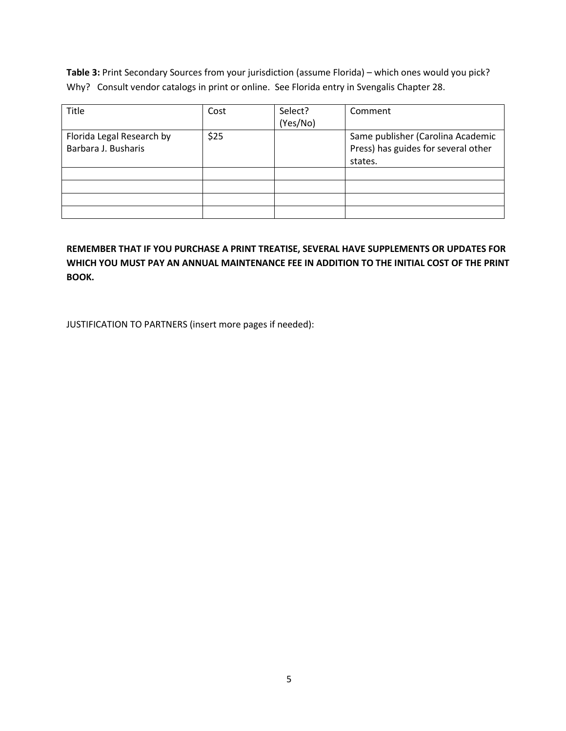**Table 3:** Print Secondary Sources from your jurisdiction (assume Florida) – which ones would you pick? Why? Consult vendor catalogs in print or online. See Florida entry in Svengalis Chapter 28.

| <b>Title</b>              | Cost | Select?  | Comment                             |
|---------------------------|------|----------|-------------------------------------|
|                           |      | (Yes/No) |                                     |
| Florida Legal Research by | \$25 |          | Same publisher (Carolina Academic   |
| Barbara J. Busharis       |      |          | Press) has guides for several other |
|                           |      |          | states.                             |
|                           |      |          |                                     |
|                           |      |          |                                     |
|                           |      |          |                                     |
|                           |      |          |                                     |

**REMEMBER THAT IF YOU PURCHASE A PRINT TREATISE, SEVERAL HAVE SUPPLEMENTS OR UPDATES FOR WHICH YOU MUST PAY AN ANNUAL MAINTENANCE FEE IN ADDITION TO THE INITIAL COST OF THE PRINT BOOK.**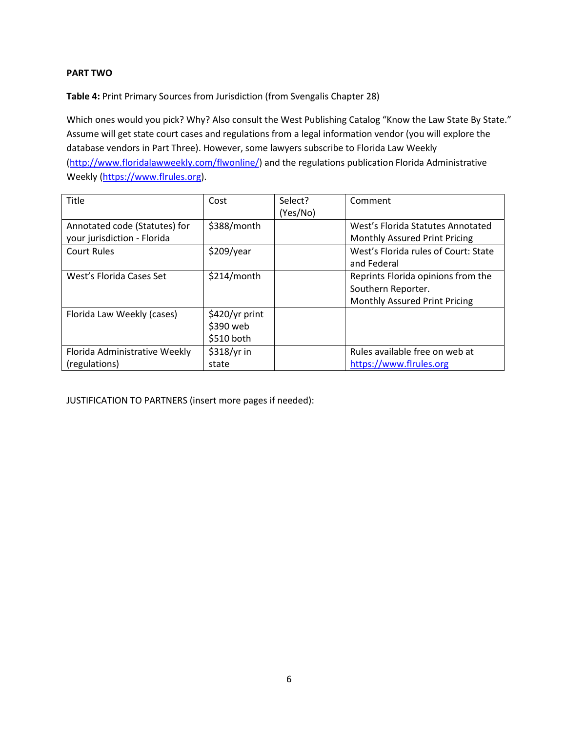#### **PART TWO**

**Table 4:** Print Primary Sources from Jurisdiction (from Svengalis Chapter 28)

Which ones would you pick? Why? Also consult the West Publishing Catalog "Know the Law State By State." Assume will get state court cases and regulations from a legal information vendor (you will explore the database vendors in Part Three). However, some lawyers subscribe to Florida Law Weekly [\(http://www.floridalawweekly.com/flwonline/\)](http://www.floridalawweekly.com/flwonline/) and the regulations publication Florida Administrative Weekly [\(https://www.flrules.org\)](https://www.flrules.org/).

| Title                                                        | Cost                                      | Select?<br>(Yes/No) | Comment                                                                                   |
|--------------------------------------------------------------|-------------------------------------------|---------------------|-------------------------------------------------------------------------------------------|
| Annotated code (Statutes) for<br>your jurisdiction - Florida | \$388/month                               |                     | West's Florida Statutes Annotated<br>Monthly Assured Print Pricing                        |
| <b>Court Rules</b>                                           | \$209/year                                |                     | West's Florida rules of Court: State<br>and Federal                                       |
| West's Florida Cases Set                                     | \$214/month                               |                     | Reprints Florida opinions from the<br>Southern Reporter.<br>Monthly Assured Print Pricing |
| Florida Law Weekly (cases)                                   | \$420/yr print<br>\$390 web<br>\$510 both |                     |                                                                                           |
| Florida Administrative Weekly<br>(regulations)               | \$318/yr in<br>state                      |                     | Rules available free on web at<br>https://www.flrules.org                                 |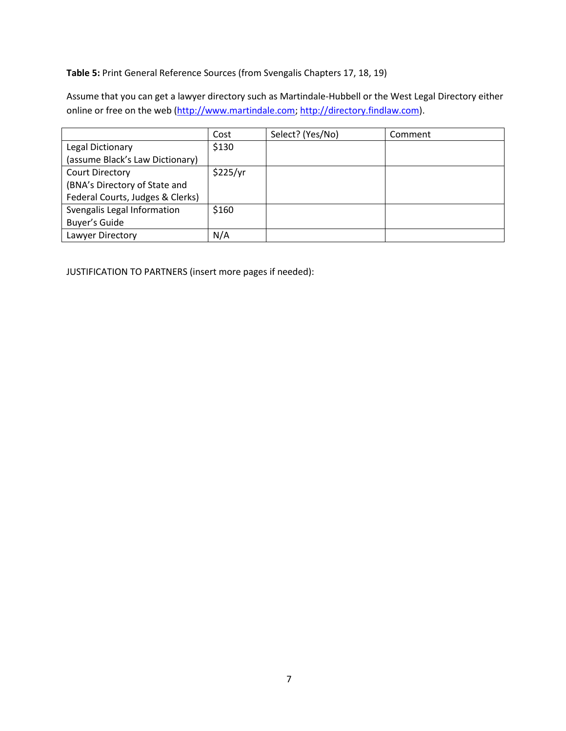**Table 5:** Print General Reference Sources (from Svengalis Chapters 17, 18, 19)

Assume that you can get a lawyer directory such as Martindale-Hubbell or the West Legal Directory either online or free on the web [\(http://www.martindale.com;](http://www.martindale.com/) [http://directory.findlaw.com\)](http://directory.findlaw.com/).

|                                  | Cost     | Select? (Yes/No) | Comment |
|----------------------------------|----------|------------------|---------|
| Legal Dictionary                 | \$130    |                  |         |
| (assume Black's Law Dictionary)  |          |                  |         |
| <b>Court Directory</b>           | \$225/yr |                  |         |
| (BNA's Directory of State and    |          |                  |         |
| Federal Courts, Judges & Clerks) |          |                  |         |
| Svengalis Legal Information      | \$160    |                  |         |
| Buyer's Guide                    |          |                  |         |
| Lawyer Directory                 | N/A      |                  |         |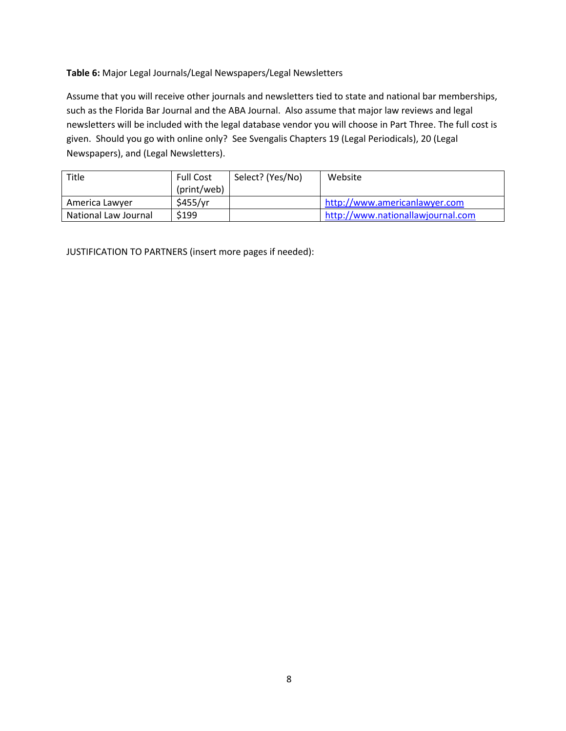#### **Table 6:** Major Legal Journals/Legal Newspapers/Legal Newsletters

Assume that you will receive other journals and newsletters tied to state and national bar memberships, such as the Florida Bar Journal and the ABA Journal. Also assume that major law reviews and legal newsletters will be included with the legal database vendor you will choose in Part Three. The full cost is given. Should you go with online only? See Svengalis Chapters 19 (Legal Periodicals), 20 (Legal Newspapers), and (Legal Newsletters).

| Title                | <b>Full Cost</b> | Select? (Yes/No) | Website                           |
|----------------------|------------------|------------------|-----------------------------------|
|                      | (print/web)      |                  |                                   |
| America Lawyer       | \$455/yr         |                  | http://www.americanlawyer.com     |
| National Law Journal | \$199            |                  | http://www.nationallawjournal.com |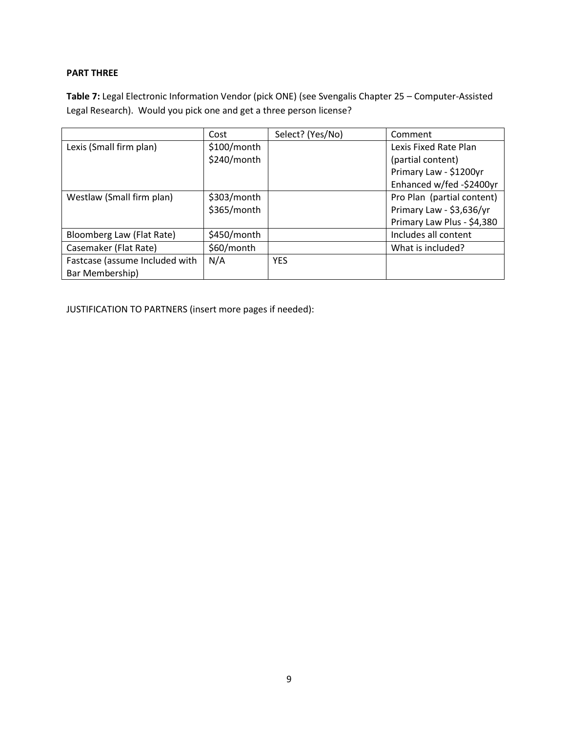#### **PART THREE**

**Table 7:** Legal Electronic Information Vendor (pick ONE) (see Svengalis Chapter 25 – Computer-Assisted Legal Research). Would you pick one and get a three person license?

|                                | Cost        | Select? (Yes/No) | Comment                    |
|--------------------------------|-------------|------------------|----------------------------|
| Lexis (Small firm plan)        | \$100/month |                  | Lexis Fixed Rate Plan      |
|                                | \$240/month |                  | (partial content)          |
|                                |             |                  | Primary Law - \$1200yr     |
|                                |             |                  | Enhanced w/fed -\$2400yr   |
| Westlaw (Small firm plan)      | \$303/month |                  | Pro Plan (partial content) |
|                                | \$365/month |                  | Primary Law - \$3,636/yr   |
|                                |             |                  | Primary Law Plus - \$4,380 |
| Bloomberg Law (Flat Rate)      | \$450/month |                  | Includes all content       |
| Casemaker (Flat Rate)          | \$60/month  |                  | What is included?          |
| Fastcase (assume Included with | N/A         | <b>YES</b>       |                            |
| Bar Membership)                |             |                  |                            |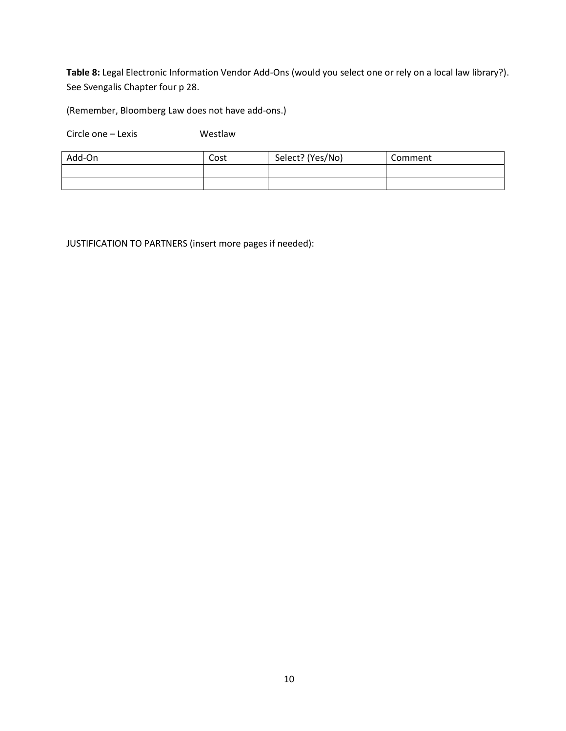**Table 8:** Legal Electronic Information Vendor Add-Ons (would you select one or rely on a local law library?). See Svengalis Chapter four p 28.

(Remember, Bloomberg Law does not have add-ons.)

Circle one – Lexis Westlaw

| Add-On | Cost | Select? (Yes/No) | Comment |
|--------|------|------------------|---------|
|        |      |                  |         |
|        |      |                  |         |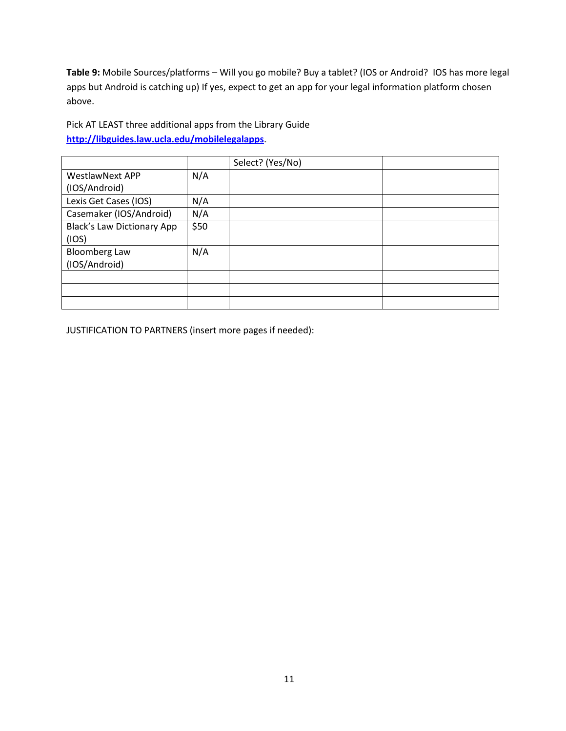**Table 9:** Mobile Sources/platforms – Will you go mobile? Buy a tablet? (IOS or Android? IOS has more legal apps but Android is catching up) If yes, expect to get an app for your legal information platform chosen above.

Pick AT LEAST three additional apps from the Library Guide **[http://libguides.law.ucla.edu/mobilelegalapps.](http://libguides.law.ucla.edu/mobilelegalapps)**

|                                   |      | Select? (Yes/No) |  |
|-----------------------------------|------|------------------|--|
| <b>WestlawNext APP</b>            | N/A  |                  |  |
| (IOS/Android)                     |      |                  |  |
| Lexis Get Cases (IOS)             | N/A  |                  |  |
| Casemaker (IOS/Android)           | N/A  |                  |  |
| <b>Black's Law Dictionary App</b> | \$50 |                  |  |
| (IOS)                             |      |                  |  |
| <b>Bloomberg Law</b>              | N/A  |                  |  |
| (IOS/Android)                     |      |                  |  |
|                                   |      |                  |  |
|                                   |      |                  |  |
|                                   |      |                  |  |